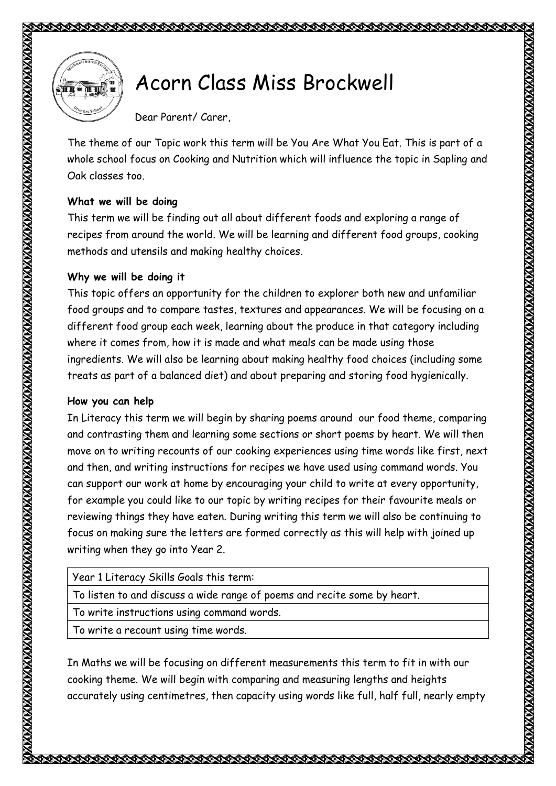

## Acorn Class Miss Brockwell

Dear Parent/ Carer,

The theme of our Topic work this term will be You Are What You Eat. This is part of a whole school focus on Cooking and Nutrition which will influence the topic in Sapling and Oak classes too.

## **What we will be doing**

This term we will be finding out all about different foods and exploring a range of recipes from around the world. We will be learning and different food groups, cooking methods and utensils and making healthy choices.

## **Why we will be doing it**

This topic offers an opportunity for the children to explorer both new and unfamiliar food groups and to compare tastes, textures and appearances. We will be focusing on a different food group each week, learning about the produce in that category including where it comes from, how it is made and what meals can be made using those ingredients. We will also be learning about making healthy food choices (including some treats as part of a balanced diet) and about preparing and storing food hygienically.

## **How you can help**

In Literacy this term we will begin by sharing poems around our food theme, comparing and contrasting them and learning some sections or short poems by heart. We will then move on to writing recounts of our cooking experiences using time words like first, next and then, and writing instructions for recipes we have used using command words. You can support our work at home by encouraging your child to write at every opportunity, for example you could like to our topic by writing recipes for their favourite meals or reviewing things they have eaten. During writing this term we will also be continuing to focus on making sure the letters are formed correctly as this will help with joined up writing when they go into Year 2.

To listen to and discuss a wide range of poems and recite some by heart.

To write instructions using command words.

To write a recount using time words.

In Maths we will be focusing on different measurements this term to fit in with our cooking theme. We will begin with comparing and measuring lengths and heights accurately using centimetres, then capacity using words like full, half full, nearly empty